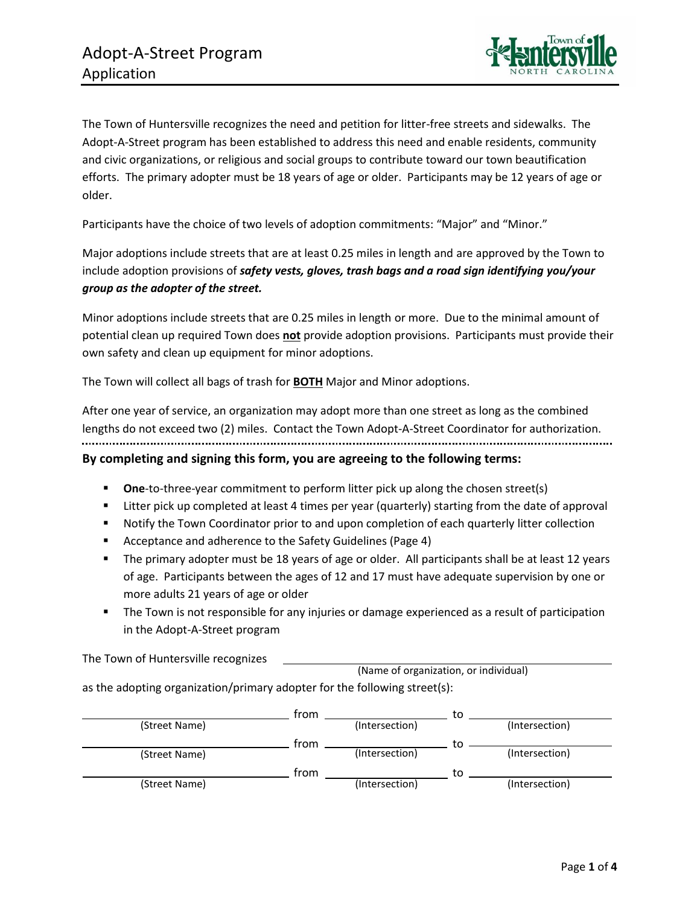

The Town of Huntersville recognizes the need and petition for litter-free streets and sidewalks. The Adopt-A-Street program has been established to address this need and enable residents, community and civic organizations, or religious and social groups to contribute toward our town beautification efforts. The primary adopter must be 18 years of age or older. Participants may be 12 years of age or older.

Participants have the choice of two levels of adoption commitments: "Major" and "Minor."

Major adoptions include streets that are at least 0.25 miles in length and are approved by the Town to include adoption provisions of *safety vests, gloves, trash bags and a road sign identifying you/your group as the adopter of the street.*

Minor adoptions include streets that are 0.25 miles in length or more. Due to the minimal amount of potential clean up required Town does **not** provide adoption provisions. Participants must provide their own safety and clean up equipment for minor adoptions.

The Town will collect all bags of trash for **BOTH** Major and Minor adoptions.

After one year of service, an organization may adopt more than one street as long as the combined lengths do not exceed two (2) miles. Contact the Town Adopt-A-Street Coordinator for authorization. **By completing and signing this form, you are agreeing to the following terms:** 

- **One-to-three-year commitment to perform litter pick up along the chosen street(s)**
- Litter pick up completed at least 4 times per year (quarterly) starting from the date of approval
- Notify the Town Coordinator prior to and upon completion of each quarterly litter collection
- Acceptance and adherence to the Safety Guidelines (Page 4)
- The primary adopter must be 18 years of age or older. All participants shall be at least 12 years of age. Participants between the ages of 12 and 17 must have adequate supervision by one or more adults 21 years of age or older
- **•** The Town is not responsible for any injuries or damage experienced as a result of participation in the Adopt-A-Street program

(Name of organization, or individual) The Town of Huntersville recognizes

as the adopting organization/primary adopter for the following street(s):

|               | trom |                | to |                |
|---------------|------|----------------|----|----------------|
| (Street Name) |      | (Intersection) |    | (Intersection) |
|               | trom |                |    |                |
| (Street Name) |      | (Intersection) |    | (Intersection) |
|               | trom |                | tο |                |
| (Street Name) |      | (Intersection) |    | (Intersection) |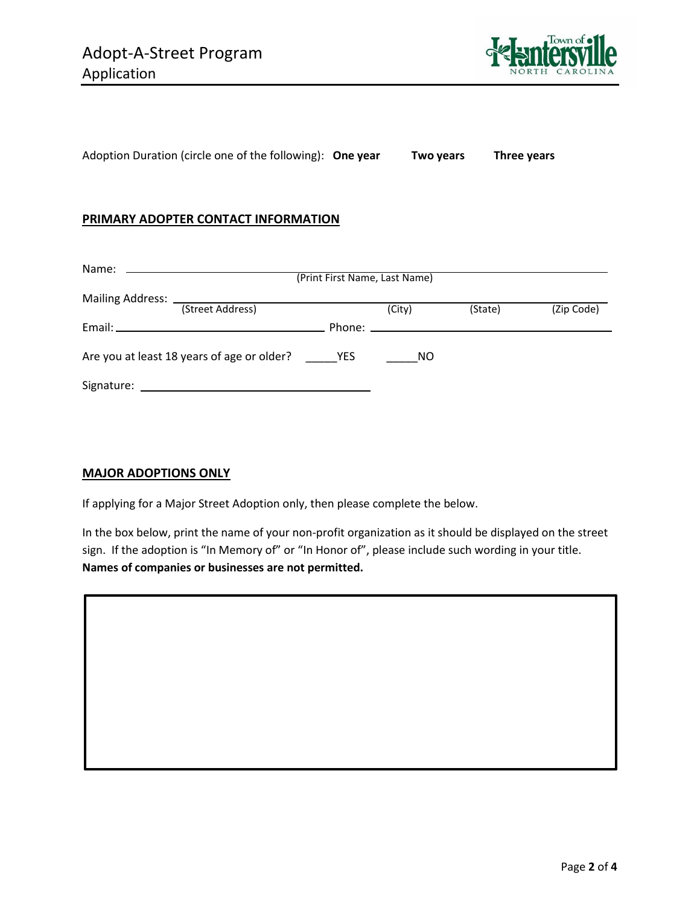

Adoption Duration (circle one of the following): **One year Two years Three years**

### **PRIMARY ADOPTER CONTACT INFORMATION**

|            |                                            | (Print First Name, Last Name) |        |         |            |
|------------|--------------------------------------------|-------------------------------|--------|---------|------------|
|            |                                            |                               |        |         |            |
|            | (Street Address)                           |                               | (City) | (State) | (Zip Code) |
|            |                                            |                               |        |         |            |
|            | Are you at least 18 years of age or older? | <b>EXAMPLE</b>                | NO.    |         |            |
| Signature: |                                            |                               |        |         |            |

#### **MAJOR ADOPTIONS ONLY**

If applying for a Major Street Adoption only, then please complete the below.

In the box below, print the name of your non-profit organization as it should be displayed on the street sign. If the adoption is "In Memory of" or "In Honor of", please include such wording in your title. **Names of companies or businesses are not permitted.**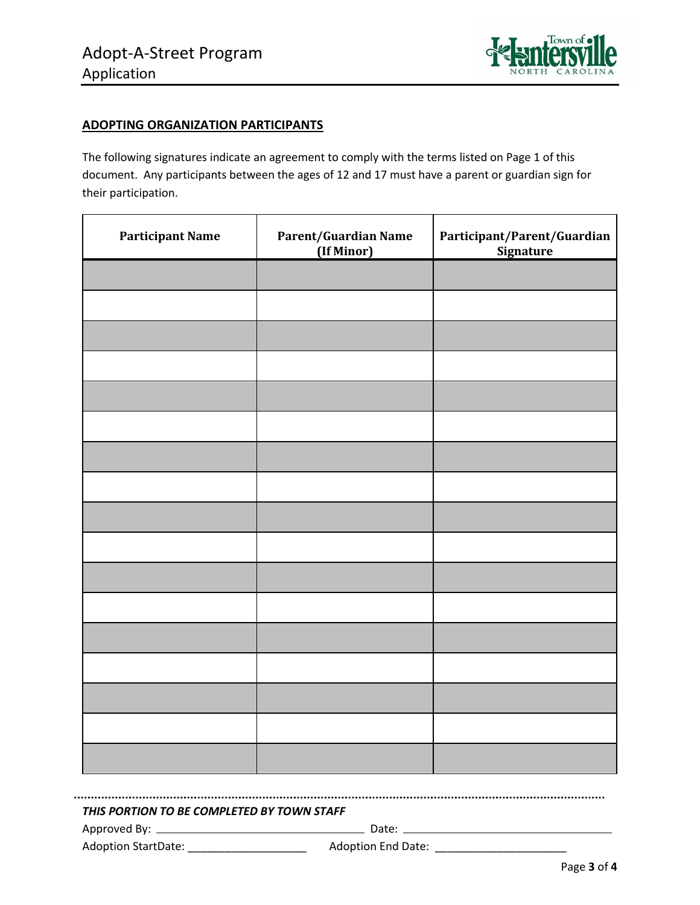

## **ADOPTING ORGANIZATION PARTICIPANTS**

The following signatures indicate an agreement to comply with the terms listed on Page 1 of this document. Any participants between the ages of 12 and 17 must have a parent or guardian sign for their participation.

| <b>Participant Name</b> | Parent/Guardian Name<br>(If Minor) | Participant/Parent/Guardian<br><b>Signature</b> |
|-------------------------|------------------------------------|-------------------------------------------------|
|                         |                                    |                                                 |
|                         |                                    |                                                 |
|                         |                                    |                                                 |
|                         |                                    |                                                 |
|                         |                                    |                                                 |
|                         |                                    |                                                 |
|                         |                                    |                                                 |
|                         |                                    |                                                 |
|                         |                                    |                                                 |
|                         |                                    |                                                 |
|                         |                                    |                                                 |
|                         |                                    |                                                 |
|                         |                                    |                                                 |
|                         |                                    |                                                 |
|                         |                                    |                                                 |
|                         |                                    |                                                 |
|                         |                                    |                                                 |

*THIS PORTION TO BE COMPLETED BY TOWN STAFF*

Approved By: Date:

Adoption StartDate: \_\_\_\_\_\_\_\_\_\_\_\_\_\_\_\_\_\_\_ Adoption End Date: \_\_\_\_\_\_\_\_\_\_\_\_\_\_\_\_\_\_\_\_\_

Page **3** of **4**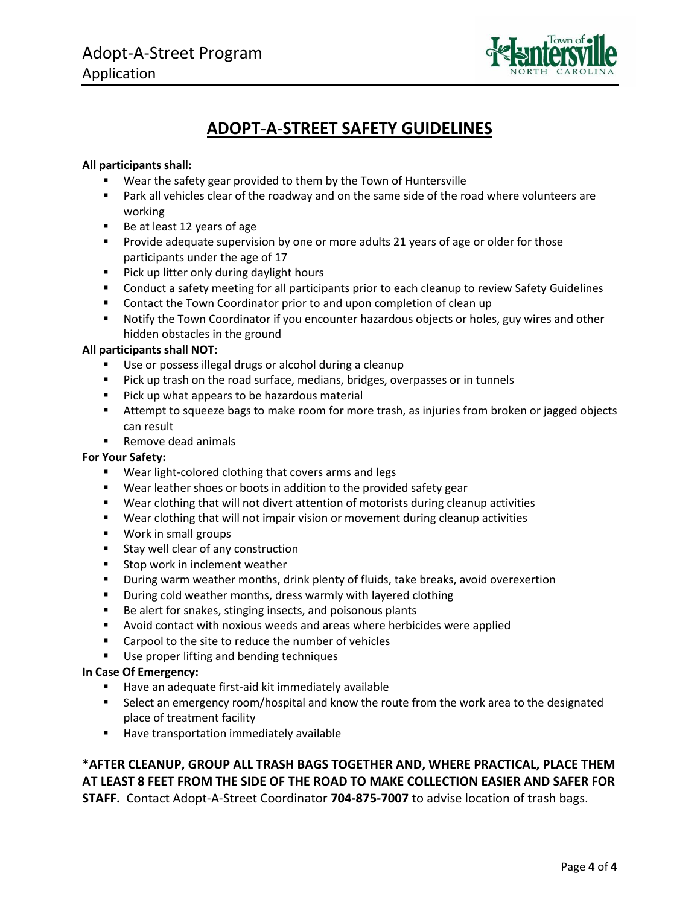

# **ADOPT-A-STREET SAFETY GUIDELINES**

#### **All participants shall:**

- Wear the safety gear provided to them by the Town of Huntersville
- Park all vehicles clear of the roadway and on the same side of the road where volunteers are working
- Be at least 12 years of age
- **•** Provide adequate supervision by one or more adults 21 years of age or older for those participants under the age of 17
- Pick up litter only during daylight hours
- Conduct a safety meeting for all participants prior to each cleanup to review Safety Guidelines
- Contact the Town Coordinator prior to and upon completion of clean up
- Notify the Town Coordinator if you encounter hazardous objects or holes, guy wires and other hidden obstacles in the ground

#### **All participants shall NOT:**

- Use or possess illegal drugs or alcohol during a cleanup
- Pick up trash on the road surface, medians, bridges, overpasses or in tunnels
- Pick up what appears to be hazardous material
- Attempt to squeeze bags to make room for more trash, as injuries from broken or jagged objects can result
- Remove dead animals

#### **For Your Safety:**

- Wear light-colored clothing that covers arms and legs
- Wear leather shoes or boots in addition to the provided safety gear
- Wear clothing that will not divert attention of motorists during cleanup activities
- Wear clothing that will not impair vision or movement during cleanup activities
- Work in small groups
- Stay well clear of any construction
- Stop work in inclement weather
- **■** During warm weather months, drink plenty of fluids, take breaks, avoid overexertion
- During cold weather months, dress warmly with layered clothing
- Be alert for snakes, stinging insects, and poisonous plants
- Avoid contact with noxious weeds and areas where herbicides were applied
- Carpool to the site to reduce the number of vehicles
- Use proper lifting and bending techniques

#### **In Case Of Emergency:**

- Have an adequate first-aid kit immediately available
- Select an emergency room/hospital and know the route from the work area to the designated place of treatment facility
- Have transportation immediately available

## **\*AFTER CLEANUP, GROUP ALL TRASH BAGS TOGETHER AND, WHERE PRACTICAL, PLACE THEM AT LEAST 8 FEET FROM THE SIDE OF THE ROAD TO MAKE COLLECTION EASIER AND SAFER FOR STAFF.** Contact Adopt-A-Street Coordinator **704-875-7007** to advise location of trash bags.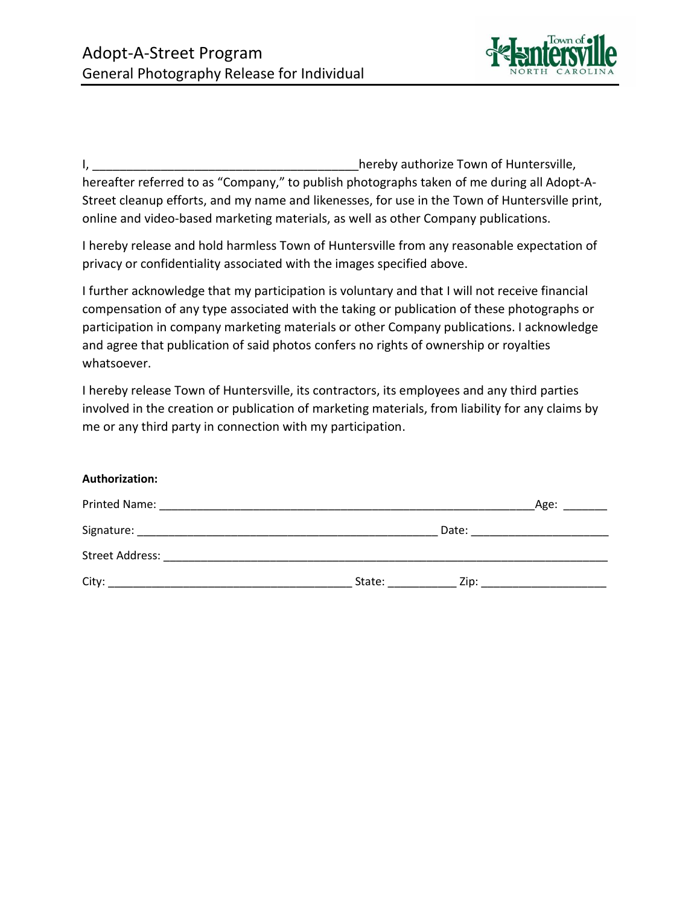

I, the contract of the contract of the contract of the contract of the contract of Huntersville, hereafter referred to as "Company," to publish photographs taken of me during all Adopt-A-Street cleanup efforts, and my name and likenesses, for use in the Town of Huntersville print, online and video-based marketing materials, as well as other Company publications.

I hereby release and hold harmless Town of Huntersville from any reasonable expectation of privacy or confidentiality associated with the images specified above.

I further acknowledge that my participation is voluntary and that I will not receive financial compensation of any type associated with the taking or publication of these photographs or participation in company marketing materials or other Company publications. I acknowledge and agree that publication of said photos confers no rights of ownership or royalties whatsoever.

I hereby release Town of Huntersville, its contractors, its employees and any third parties involved in the creation or publication of marketing materials, from liability for any claims by me or any third party in connection with my participation.

#### **Authorization:**

| Printed Name:<br><u> 1989 - Johann Stoff, deutscher Stoff, der Stoff, der Stoff, der Stoff, der Stoff, der Stoff, der Stoff, der S</u> | Age:           |
|----------------------------------------------------------------------------------------------------------------------------------------|----------------|
|                                                                                                                                        | Date:          |
| <b>Street Address:</b>                                                                                                                 |                |
| City:                                                                                                                                  | State:<br>Zip: |